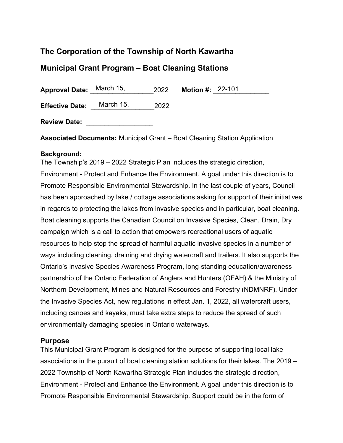# **The Corporation of the Township of North Kawartha**

## **Municipal Grant Program – Boat Cleaning Stations**

**Approval Date:** <u>March 15, 2022</u> **Motion #: 22-101** 

**Effective Date:** <u>March 15, 2022</u>

**Review Date:** \_\_\_\_\_\_\_\_\_\_\_\_\_\_\_\_\_\_

**Associated Documents:** Municipal Grant – Boat Cleaning Station Application

#### **Background:**

The Township's 2019 – 2022 Strategic Plan includes the strategic direction, Environment - Protect and Enhance the Environment. A goal under this direction is to Promote Responsible Environmental Stewardship. In the last couple of years, Council has been approached by lake / cottage associations asking for support of their initiatives in regards to protecting the lakes from invasive species and in particular, boat cleaning. Boat cleaning supports the Canadian Council on Invasive Species, Clean, Drain, Dry campaign which is a call to action that empowers recreational users of aquatic resources to help stop the spread of harmful aquatic invasive species in a number of ways including cleaning, draining and drying watercraft and trailers. It also supports the Ontario's Invasive Species Awareness Program, long-standing education/awareness partnership of the Ontario Federation of Anglers and Hunters (OFAH) & the Ministry of Northern Development, Mines and Natural Resources and Forestry (NDMNRF). Under the Invasive Species Act, new regulations in effect Jan. 1, 2022, all watercraft users, including canoes and kayaks, must take extra steps to reduce the spread of such environmentally damaging species in Ontario waterways.

#### **Purpose**

This Municipal Grant Program is designed for the purpose of supporting local lake associations in the pursuit of boat cleaning station solutions for their lakes. The 2019 – 2022 Township of North Kawartha Strategic Plan includes the strategic direction, Environment - Protect and Enhance the Environment. A goal under this direction is to Promote Responsible Environmental Stewardship. Support could be in the form of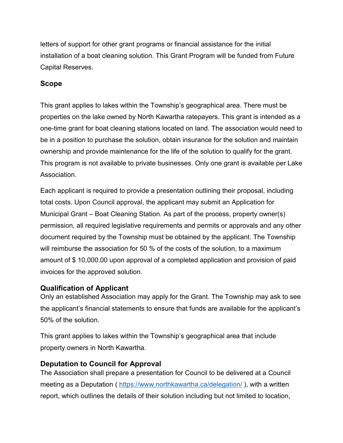letters of support for other grant programs or financial assistance for the initial installation of a boat cleaning solution. This Grant Program will be funded from Future Capital Reserves.

### **Scope**

This grant applies to lakes within the Township's geographical area. There must be properties on the lake owned by North Kawartha ratepayers. This grant is intended as a one-time grant for boat cleaning stations located on land. The association would need to be in a position to purchase the solution, obtain insurance for the solution and maintain ownership and provide maintenance for the life of the solution to qualify for the grant. This program is not available to private businesses. Only one grant is available per Lake Association.

Each applicant is required to provide a presentation outlining their proposal, including total costs. Upon Council approval, the applicant may submit an Application for Municipal Grant – Boat Cleaning Station. As part of the process, property owner(s) permission, all required legislative requirements and permits or approvals and any other document required by the Township must be obtained by the applicant. The Township will reimburse the association for 50 % of the costs of the solution, to a maximum amount of \$ 10,000.00 upon approval of a completed application and provision of paid invoices for the approved solution.

## **Qualification of Applicant**

Only an established Association may apply for the Grant. The Township may ask to see the applicant's financial statements to ensure that funds are available for the applicant's 50% of the solution.

This grant applies to lakes within the Township's geographical area that include property owners in North Kawartha.

### **Deputation to Council for Approval**

The Association shall prepare a presentation for Council to be delivered at a Council meeting as a Deputation (<https://www.northkawartha.ca/delegation/>), with a written report, which outlines the details of their solution including but not limited to location,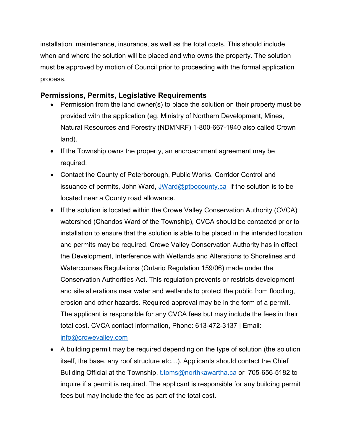installation, maintenance, insurance, as well as the total costs. This should include when and where the solution will be placed and who owns the property. The solution must be approved by motion of Council prior to proceeding with the formal application process.

### **Permissions, Permits, Legislative Requirements**

- Permission from the land owner(s) to place the solution on their property must be provided with the application (eg. Ministry of Northern Development, Mines, Natural Resources and Forestry (NDMNRF) 1-800-667-1940 also called Crown land).
- If the Township owns the property, an encroachment agreement may be required.
- Contact the County of Peterborough, Public Works, Corridor Control and issuance of permits, John Ward, [JWard@ptbocounty.ca](mailto:JWard@ptbocounty.ca) if the solution is to be located near a County road allowance.
- If the solution is located within the Crowe Valley Conservation Authority (CVCA) watershed (Chandos Ward of the Township), CVCA should be contacted prior to installation to ensure that the solution is able to be placed in the intended location and permits may be required. Crowe Valley Conservation Authority has in effect the Development, Interference with Wetlands and Alterations to Shorelines and Watercourses Regulations (Ontario Regulation 159/06) made under the Conservation Authorities Act. This regulation prevents or restricts development and site alterations near water and wetlands to protect the public from flooding, erosion and other hazards. Required approval may be in the form of a permit. The applicant is responsible for any CVCA fees but may include the fees in their total cost. CVCA contact information, Phone: 613-472-3137 | Email: [info@crowevalley.com](mailto:info@crowevalley.com)
- A building permit may be required depending on the type of solution (the solution itself, the base, any roof structure etc…). Applicants should contact the Chief Building Official at the Township, [t.toms@northkawartha.ca](mailto:t.toms@northkawartha.ca) or 705-656-5182 to inquire if a permit is required. The applicant is responsible for any building permit fees but may include the fee as part of the total cost.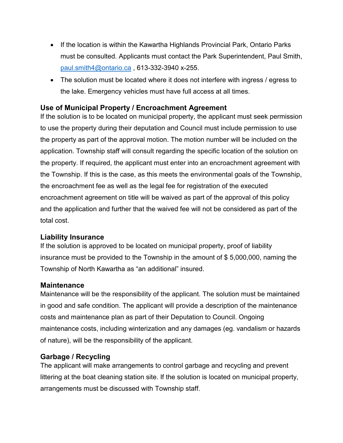- If the location is within the Kawartha Highlands Provincial Park, Ontario Parks must be consulted. Applicants must contact the Park Superintendent, Paul Smith, [paul.smith4@ontario.ca](mailto:paul.smith4@ontario.ca) , 613-332-3940 x-255.
- The solution must be located where it does not interfere with ingress / egress to the lake. Emergency vehicles must have full access at all times.

### **Use of Municipal Property / Encroachment Agreement**

If the solution is to be located on municipal property, the applicant must seek permission to use the property during their deputation and Council must include permission to use the property as part of the approval motion. The motion number will be included on the application. Township staff will consult regarding the specific location of the solution on the property. If required, the applicant must enter into an encroachment agreement with the Township. If this is the case, as this meets the environmental goals of the Township, the encroachment fee as well as the legal fee for registration of the executed encroachment agreement on title will be waived as part of the approval of this policy and the application and further that the waived fee will not be considered as part of the total cost.

#### **Liability Insurance**

If the solution is approved to be located on municipal property, proof of liability insurance must be provided to the Township in the amount of \$ 5,000,000, naming the Township of North Kawartha as "an additional" insured.

#### **Maintenance**

Maintenance will be the responsibility of the applicant. The solution must be maintained in good and safe condition. The applicant will provide a description of the maintenance costs and maintenance plan as part of their Deputation to Council. Ongoing maintenance costs, including winterization and any damages (eg. vandalism or hazards of nature), will be the responsibility of the applicant.

## **Garbage / Recycling**

The applicant will make arrangements to control garbage and recycling and prevent littering at the boat cleaning station site. If the solution is located on municipal property, arrangements must be discussed with Township staff.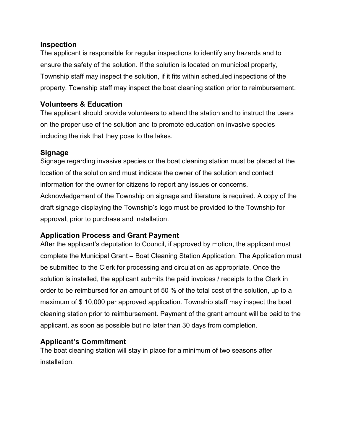#### **Inspection**

The applicant is responsible for regular inspections to identify any hazards and to ensure the safety of the solution. If the solution is located on municipal property, Township staff may inspect the solution, if it fits within scheduled inspections of the property. Township staff may inspect the boat cleaning station prior to reimbursement.

### **Volunteers & Education**

The applicant should provide volunteers to attend the station and to instruct the users on the proper use of the solution and to promote education on invasive species including the risk that they pose to the lakes.

### **Signage**

Signage regarding invasive species or the boat cleaning station must be placed at the location of the solution and must indicate the owner of the solution and contact information for the owner for citizens to report any issues or concerns. Acknowledgement of the Township on signage and literature is required. A copy of the draft signage displaying the Township's logo must be provided to the Township for approval, prior to purchase and installation.

## **Application Process and Grant Payment**

After the applicant's deputation to Council, if approved by motion, the applicant must complete the Municipal Grant – Boat Cleaning Station Application. The Application must be submitted to the Clerk for processing and circulation as appropriate. Once the solution is installed, the applicant submits the paid invoices / receipts to the Clerk in order to be reimbursed for an amount of 50 % of the total cost of the solution, up to a maximum of \$ 10,000 per approved application. Township staff may inspect the boat cleaning station prior to reimbursement. Payment of the grant amount will be paid to the applicant, as soon as possible but no later than 30 days from completion.

### **Applicant's Commitment**

The boat cleaning station will stay in place for a minimum of two seasons after installation.